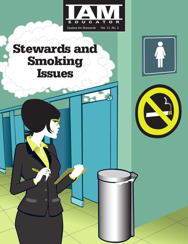

# **Stewards and Smoking Issues**



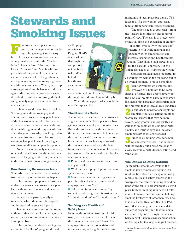## **Stewards and Smoking Issues**

**F**ew issues brew up a storm as quickly as the regulation of smoking. Things can get very messy fast. The descent into irrational namecalling breaks speed records: "Smoke Nazi," "Horse's Ass," "Anti-tobacco Freak," "Fascist," and "Snobbish" are just a few of the printable epithets used recently in an e-mail exchange about a management-imposed smoking regulation in a Midwestern factory. When you set up a strong physical and behavioral addiction against the employer's power over us on the job, the result is a confusing, difficult and generally unpleasant situation for a union steward.

There is good reason for all this heat. Smoking, in addition to its physical effects, symbolizes for many people one of the few worker-controlled break time diversions or recreations available during their highly regimented, very stressful and often dangerous workday. Smoking is also seen as a class issue. It is in fact true that working-class people smoke at a higher rate than middle- and upper-class people.

Nevertheless, not only relevant local, state and federal laws but also union contracts are changing all the time, generally in the direction of discouraging smoking.

### **How Smoking Becomes an Issue**

Stewards may have to face the smoking issue when any of the following happen:

The employer proposes or institutes unilateral changes in smoking rules, perhaps without proper notice and negotiation with the union;

A new law is passed, locally or statewide, which then must be applied and interpreted in your workplace;

In contract negotiations or the runup to them, either the employer or a group of workers want more smoking restrictions or a complete ban;

The employer embeds smoking regulation in a "wellness" program through

an Employee Assistance Program (EAP) or elsewhere that might be compulsory, not confidential, and/or linked to health insurance premiums or

even continued employment;

this might include smoking off the job. When these happen, what should the union's response be?

#### **The Steward's Goals**

The union may face these circumstances as grievances, unfair labor practices, bargaining issues or workplace controversies. But with this issue, as with most others, the steward's main task is to help manage the interpersonal debate, no matter how heated it gets, in such a way as to make the union stronger and keep the boss from using the issue to increase his power over workers. The main task then breaks out into the need to:

■ Protect and increase worker health and safety generally.

■ Weaken the employer's power to manage us as they please.

■ Maintain a focus on the larger workplace health and safety hazards that the employer needs to "fix."

■ Take a cue from health and safety strategies and change the discussion from "fixing the workers" to "fixing the hazard."

## **Smoking as a Health and Safety Issue**

Framing the smoking issue as a health issue, we can compare the employer and the union perspectives as follows. The employer focuses on productivity and insurance cost, looking for profit maximization and legal plausible denial. This leads to a "fix the worker" approach, familiar from behavioral safety programs.

The union needs to approach it from the "hazard identification and removal" point of view. The goal is to protect worker health, block the expansion of employ-

er control over activity that does not interfere with work, maintain and expand worker compensation and increase insurance and healthcare protection. That should lead stewards to a "fix-the-hazards" approach. But the union also needs to "support the victim."

Stewards can help make life better for all workers by making the following part of an overall program to reduce smoking:

**1**Help for workers who want to quit. However, this help has to be confidential, effective, free, and voluntary. If the employer wants to bargain over smoking, make him bargain an appropriate quitting program that observes these standards.

**2Sensitivity to nonsmokers' rights and** complaints but also actions on other workplace hazards that may be more severe, long ignored, and especially dangerous to smokers when combined with smoke, and infuriating when increased smoking restrictions are proposed.

**3**Functional smoking areas for smoking-addicted workers—not outdoors with no shelter, but a place reasonably close, accessible, with decent seating, and ventilated.

### **The Danger of Doing Nothing**

In the past, some unions avoided the smoking issue completely, arguing that until the boss cleans up many other recognizable health and safety hazards in the workplace, the issue of smoking should be kept off the table. This argument is a good place to start: Smoking is, in fact, a health issue. However, there are risks in holding smoking hostage to all other hazards. The National Labor Relations Board in 1991 ruled that smoking rules are a mandatory subject of bargaining, but that the union can effectively waive its right to demand bargaining if it ignores management action on the topic for too long, as in past practice.

*—Helena Worthen and Joe Berry. The writers are veteran labor educators.*

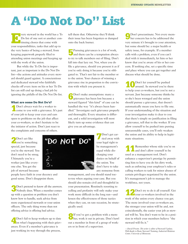## **A "Do Not Do" List**

**E**very steward in the world has a To Do list of one sort or another: continuing chores that come with your responsibilities, tasks that add up to the very basics of being a steward, from keeping paperwork properly filed to attending union meetings and keeping up with the work of the union.

But while the To Do list is important, just as important is the Do Not Do list—the actions and attitudes every steward should guard against. A conscientious and dedicated steward who faithfully checks off every item on his or her To Do list can still end up doing a bad job by ignoring the pitfalls of the Do Not Do list.

#### **What are some Do Not Do's?**

**1** Don't always wait for a worker to come to you with a grievance. It's part of your job to keep your eyes and ears open to problems on the job that affect your co-workers, so don't hesitate to be the initiator of action. Don't just react to the complaints and concerns of others.

**2**Don't act like<br>you're something special, just because you're the steward. You don't need to be smug. Ultimately you're a worker just like everyone else. You got the job of steward because

people have faith in your decency and good sense. Don't disappoint them.

**3** Don't pretend to know all the answers. Nobody does. When a member comes up with a question or problem you don't know how to handle, seek advice from more experienced stewards or your union officers. The only thing worse than not offering advice is offering bad advice.

**4** Don't fail to keep workers up to date<br>on what's happening with their grievances. Even if a member's grievance is just working its way through the process,

tell them that. Otherwise they'll think their issue has been forgotten or dumped onto the back burner.

**5**Pursuing grievances is a lot of work,<br>and there can be a temptation always to try to talk members out of filing. Don't fall into that lazy rut. Nor, when you do file a grievance, should you present it as if you're only doing it because you're obligated to. That's not fair to the member or to the union. Your chances of winning a grievance rise in proportion to the conviction with which you present it.

**6**Don't make assumptions: many a grievance has been lost because a steward figured "this kind" of case can be handled the way "it's always been handled." Investigate each grievance properly and thoroughly. Every situation is different, and a solid investigation will most likely turn up some evidence that can give you an advantage.

> **7**Don't get carried away with your legal right to be management's equal while discharging your duties on behalf of the union. You don't have to take any nonsense from

management, and you should stand toeto-toe when arguing your case. But you should also remain civil and thoughtful in your presentation. Routinely resorting to yelling and profanity will only make your work more difficult in the long run—and lessen the effectiveness of those tactics when they can, on rare occasion, be strategically used.

**8**If you've got <sup>a</sup> problem with <sup>a</sup> mem-ber, work it out in private. Don't bawl out a member in front of a group of workers or in front of a supervisor.

**9** Don't procrastinate. Not every member concern has to be addressed the very minute it's brought to your attention, but some should be: a major health or safety issue, for example. If a member calls with a problem, even if you can't deal with it immediately, let him or her know that you're aware of his or her concern. If nothing else, set a specific time and place where you can get together and discuss what should be done.

**10**Don't let yourself be pushed<br>around. As steward you're there to help your co-workers, but you're not a servant. Just because someone thinks he or she's been wronged and the union should pursue a grievance, that doesn't automatically mean you have to file one. If your understanding of the situation and your investigation make it clear to you that there's simply no justification in filing a grievance, tell that to the worker. If you allow yourself to be pushed into pursing unreasonable cases, you'll only weaken the union and its ability to help in legitimate situations.

**11Remember whose side you're on**<br>and don't allow yourself to be used as a management tool. Don't enhance a supervisor's prestige by permitting him to have you do his dirty work, such as enforcing your employer's rules or calling workers to task for minor abuses of certain privileges negotiated by the union. It's management's job to manage the workforce, not yours.

**12Don't try to do it all yourself. Get** your co-workers involved in the work of the union every chance you get. The more involved your co-workers are, the stronger your union will be and, not coincidentally, the easier your job as steward will be. You don't want to be in a position in which your members believe "the steward will fix it."

*—David Prosten. The writer is editor of* Steward Update*. With thanks to* Basic Steward Training*, Industrial Relations Center, University of Minnesota.*

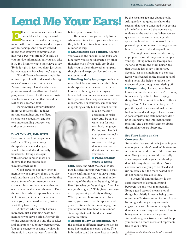# Lend Me Your Ears!

**E**ffective communication is a foundation block for every steward. You need it to deal with management, with your co-workers and with your own leadership. And a smart steward knows that effective communication involves a two-way street: Not only do you provide information but you also take it in. You listen to what others have to say. To do it right, in fact, you don't just *listen*, but you actually *hear* what they're saying.

The difference between simply listening to people talk and actually *hearing them out* involves a technique called "active listening." Good teachers and politicians—and just all-around likable people—are known for this characteristic, which seems so natural that most don't realize it's a learned trait.

For stewards, actively listening improves relationships, reduces misunderstandings and conflicts, strengthens cooperation and fosters understanding between you and your co-workers.

## **Don't Talk AT, Talk WITH**

Poor listeners talk *at* people, not *with* them. They don't engage the speaker in a real dialogue, which is two-sided and mutually beneficial. Having a dialogue with someone is much more productive than two people just talking at each other.

Good stewards not only listen to members who approach them, they also seek out those too afraid to make the first move. Some of your members won't speak up because they believe that no one has ever really heard them out. Even the members who do approach you may feel this way, so it benefits everyone when you, the steward, actively listen to what they have to say.

A steward who actively listens is more than just a sounding board for members who have a gripe. Actively listening engages both you and the speaker and enlightens you to new perspectives. You get a chance to become involved in the topic in a way that wasn't possible

before your dialogue began.

Remember that you actively listen when you interact with your members as they talk. This interaction occurs in a number of ways:

■ **Maintaining eye contact.** Keeping your eyes on the speaker as he talks lets him know you're not distracted by other thoughts, even if you really are. It also helps you to block those other rampant thoughts and keeps you focused on the matter at hand.

■ **Reading body language.** Active listeners look beyond words and find clues in the speaker's demeanor to let them know what he might not be saying. Nonverbal communication consists of posture, gestures, facial expressions and eye movements. For example, someone who is speaking calmly but has clenched fists



may be masking aggression or resistance. And be sure to watch out for your own body language. Putting your hands in your pockets or looking to the sky when someone is talking denotes boredom or disinterest in the conversation.

## ■ **Paraphrasing what is being**

**said.** Restating what the speaker says puts his ideas in your own words so that you're confirming what you have heard. You're also establishing a mutual understanding of the situation by saying things like, "So, what you're saying is…" or "Let me get this right…" This gives the speaker an opportunity to clarify or disagree. When you paraphrase someone else's words, you ensure that the speaker and you are ultimately on the same page and you reduce the likelihood of misunderstandings that could hinder successful communication.

■ **Asking follow-up questions.** Stop the speaker at different intervals to ask for more information on certain points. The information could be more facts or it could be the speaker's feelings about a topic. Asking follow-up questions shows the speaker that you're concerned with getting all the information and that you want to understand the entire story. When you ask questions, make sure to not judge the speaker or his ideas. Try not to offer any personal opinions because that might cause him to feel criticized and stop talking.

You might even want to take notes, if appropriate, even if the person is simply venting. Taking notes has two upsides. For one, it makes the other person feel that what he has to say is important. Second, just as maintaining eye contact keeps you focused on the matter at hand, taking notes also helps to reduce the chances of your thoughts wandering off. **Empathizing.** Let your members know you care about where they're coming from, even if you find it hard. Saying things like, "That must have been difficult for you," or "That wasn't fair for you…" puts the speaker at ease and makes him feel understood and helps release tension. A good empathizing statement includes a brief summary of the information (paraphrasing) and a general statement about the emotion you are observing.

## **Set Time Limits on the Conversation**

Remember that your time is just as important as your member's, so don't hesitate to set a limit on the duration of the conversation. Also, just as you wouldn't verbally abuse anyone within your membership, don't take any abuse from them. Not all conversations are going to be placid and run smoothly, but the more heated ones do not need to escalate, either.

Successful communication is the establishment of common ground between you and your membership. Being a good steward means a lot of things, but chiefly it means being committed to effective communication. Active listening is the key to any steward's engagement with his membership. It demonstrates sincerity and that nothing is being assumed or taken for granted. Remembering to actively listen will help you become a more successful representative to your union.

*—Stephanie Correlli. The writer is on the staff of* Steward Update.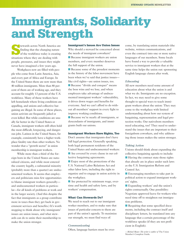# **Immigrants, Solidarity and Strength**

**S**tewards across North America are finding that the changing nature of the workforce today is creating situations where they are dealing with people, pressures, and issues they might never have imagined a few years ago.

Workplaces now are filled with people who come from Latin America, Asia, and every part of Africa and Europe. In the United States there are now more than 40 million immigrants. More than 80 percent of them are of working age, and they account for roughly 13 percent of the U.S. workforce. Many of these workers have left homelands where living conditions are appalling, and unions and collective bargaining are illegal. In some of these places, union activists are frequently jailed or even killed. But while conditions are usually far better in the United States or Canada, immigrant workers still often hold the most difficult, lowpaying, and dangerous jobs. Latinos in the United States, for example, consistently have a higher workplace fatality rate than other workers. No wonder that a "growth sector" in union membership is immigrant workers.

While more than a third of the foreign born in the United States are naturalized citizens, and while most entered the country legally, a substantial minority (probably more than a quarter) are undocumented workers. It seems that employers and politicians miss few opportunities to blame immigrant workers generally and undocumented workers in particular—for all kinds of problems at work and in the larger society. (And this despite the fact that immigrants as a group contribute more in taxes than they get back in government services and benefits.) It's worth stopping to think about why immigrants' issues are union issues, and what stewards can do to unite their membership to make the union stronger.

#### **Immigrant's Issues Are Union Issues**

Why should a steward be concerned about the needs of immigrant coworkers? ■ Because immigrant workers are union members, and every member deserves

the full support of the union.

■ Because some of the proudest moments in the history of the labor movement have been when we've said that justice issues like civil rights—are union issues, too.

■ Because "divide and conquer" means the boss wins and we lose, and when employers take advantage of undocumented immigrant workers' vulnerability, it drives down wages and benefits for everyone. And we can't afford to do without all members' support in every fight to improve working conditions.

■ Because we're nearly all immigrants, or descendants of immigrants, and immigrants built our unions.

#### **Immigrant Workers Have Rights, Too**

Don't assume that immigrants don't have full legal protection. Generally speaking, both legal permanent residents of the United States and undocumented workers: ■ Are covered by every clause in our collective bargaining agreements.

■ Enjoy most of the protections of the U.S. National Labor Relations Act and other labor laws, including the right to organize and to engage in union activity in the workplace.

■ Are protected by minimum wage, overtime and health and safety laws, and by workers' compensation.

#### **What Can Stewards Do?**

We need to reach out to our immigrant worker members, and to make sure that issues of particular concern to them are part of the union's agenda. To maximize our strength, we must find ways of:

## *Communicating*

Often, language barriers must be over-

come, by translating union materials (the website, written communications, and even the contract) into one or more native languages of our members. Some locals have found a way to provide a valuable service to immigrant workers that at the same time helps the union out: sponsoring English language classes after work.

## *Educating*

All new members need some amount of education about what the union is and what we do. Immigrants are no exception. In fact, we may need to give some thought to special ways to teach immigrant workers about the union: They may come to the workplace with limited understanding about how our system of bargaining, representation and legal protection works. Our nativeborn members need educating, too! They need to understand the issues that are important to their foreignborn coworkers, and why addressing those issues makes the union stronger.

## *Taking Action*

Unions should think about expanding the collective bargaining agenda to include: ■ Having the contract state those rights that already are in place under such laws as the U.S. Immigration Reform and Control Act.

■ Encouraging members to take part in political action to expand immigrant workers' rights.

■ Expanding workers' and the union's rights contractually. One possibility: Negotiate approved leave for workers who need time off to straighten out immigration problems.

■ Requiring that some specified documents, including the contract itself and disciplinary letters, be translated into any language that a certain percentage of the workforce speaks (if they are not proficient in English).

*—Michael Mauer. The writer is author of* The Union Member's Complete Guide*.*